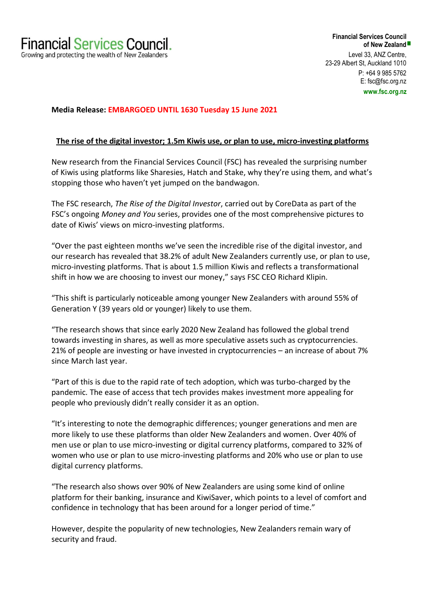## **Media Release: EMBARGOED UNTIL 1630 Tuesday 15 June 2021**

## **The rise of the digital investor; 1.5m Kiwis use, or plan to use, micro-investing platforms**

New research from the Financial Services Council (FSC) has revealed the surprising number of Kiwis using platforms like Sharesies, Hatch and Stake, why they're using them, and what's stopping those who haven't yet jumped on the bandwagon.

The FSC research, *The Rise of the Digital Investor*, carried out by CoreData as part of the FSC's ongoing *Money and You* series, provides one of the most comprehensive pictures to date of Kiwis' views on micro-investing platforms.

"Over the past eighteen months we've seen the incredible rise of the digital investor, and our research has revealed that 38.2% of adult New Zealanders currently use, or plan to use, micro-investing platforms. That is about 1.5 million Kiwis and reflects a transformational shift in how we are choosing to invest our money," says FSC CEO Richard Klipin.

"This shift is particularly noticeable among younger New Zealanders with around 55% of Generation Y (39 years old or younger) likely to use them.

"The research shows that since early 2020 New Zealand has followed the global trend towards investing in shares, as well as more speculative assets such as cryptocurrencies. 21% of people are investing or have invested in cryptocurrencies – an increase of about 7% since March last year.

"Part of this is due to the rapid rate of tech adoption, which was turbo-charged by the pandemic. The ease of access that tech provides makes investment more appealing for people who previously didn't really consider it as an option.

"It's interesting to note the demographic differences; younger generations and men are more likely to use these platforms than older New Zealanders and women. Over 40% of men use or plan to use micro-investing or digital currency platforms, compared to 32% of women who use or plan to use micro-investing platforms and 20% who use or plan to use digital currency platforms.

"The research also shows over 90% of New Zealanders are using some kind of online platform for their banking, insurance and KiwiSaver, which points to a level of comfort and confidence in technology that has been around for a longer period of time."

However, despite the popularity of new technologies, New Zealanders remain wary of security and fraud.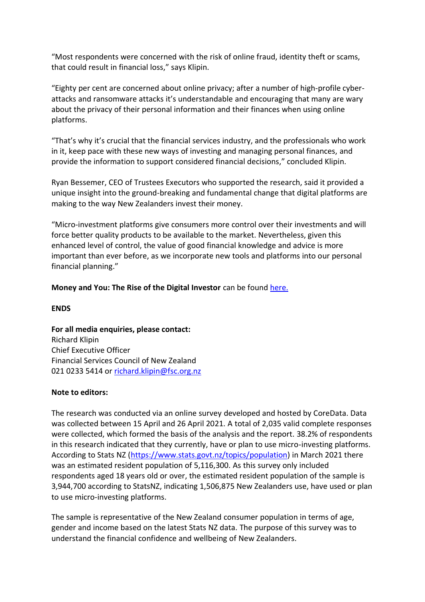"Most respondents were concerned with the risk of online fraud, identity theft or scams, that could result in financial loss," says Klipin.

"Eighty per cent are concerned about online privacy; after a number of high-profile cyberattacks and ransomware attacks it's understandable and encouraging that many are wary about the privacy of their personal information and their finances when using online platforms.

"That's why it's crucial that the financial services industry, and the professionals who work in it, keep pace with these new ways of investing and managing personal finances, and provide the information to support considered financial decisions," concluded Klipin.

Ryan Bessemer, CEO of Trustees Executors who supported the research, said it provided a unique insight into the ground-breaking and fundamental change that digital platforms are making to the way New Zealanders invest their money.

"Micro-investment platforms give consumers more control over their investments and will force better quality products to be available to the market. Nevertheless, given this enhanced level of control, the value of good financial knowledge and advice is more important than ever before, as we incorporate new tools and platforms into our personal financial planning."

**Money and You: The Rise of the Digital Investor** can be found [here.](https://www.fsc.org.nz/site/fsc1/Money%20&%20You%20-%20The%20Rise%20of%20the%20Digital%20Investor%20-%20Financial%20Services%20Council%20-%20June%202021.pdf)

**ENDS**

**For all media enquiries, please contact:**  Richard Klipin Chief Executive Officer Financial Services Council of New Zealand 021 0233 5414 or [richard.klipin@fsc.org.nz](mailto:richard.klipin@fsc.org.nz)

## **Note to editors:**

The research was conducted via an online survey developed and hosted by CoreData. Data was collected between 15 April and 26 April 2021. A total of 2,035 valid complete responses were collected, which formed the basis of the analysis and the report. 38.2% of respondents in this research indicated that they currently, have or plan to use micro-investing platforms. According to Stats NZ [\(https://www.stats.govt.nz/topics/population\)](https://www.stats.govt.nz/topics/population) in March 2021 there was an estimated resident population of 5,116,300. As this survey only included respondents aged 18 years old or over, the estimated resident population of the sample is 3,944,700 according to StatsNZ, indicating 1,506,875 New Zealanders use, have used or plan to use micro-investing platforms.

The sample is representative of the New Zealand consumer population in terms of age, gender and income based on the latest Stats NZ data. The purpose of this survey was to understand the financial confidence and wellbeing of New Zealanders.